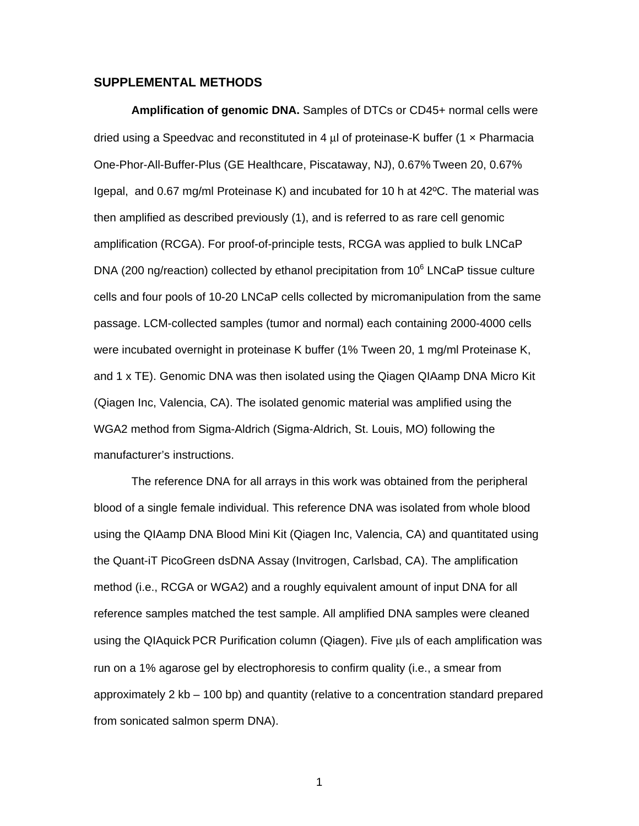## **SUPPLEMENTAL METHODS**

**Amplification of genomic DNA.** Samples of DTCs or CD45+ normal cells were dried using a Speedvac and reconstituted in 4 μl of proteinase-K buffer (1 x Pharmacia One-Phor-All-Buffer-Plus (GE Healthcare, Piscataway, NJ), 0.67% Tween 20, 0.67% Igepal, and 0.67 mg/ml Proteinase K) and incubated for 10 h at 42ºC. The material was then amplified as described previously (1), and is referred to as rare cell genomic amplification (RCGA). For proof-of-principle tests, RCGA was applied to bulk LNCaP DNA (200 ng/reaction) collected by ethanol precipitation from  $10^6$  LNCaP tissue culture cells and four pools of 10-20 LNCaP cells collected by micromanipulation from the same passage. LCM-collected samples (tumor and normal) each containing 2000-4000 cells were incubated overnight in proteinase K buffer (1% Tween 20, 1 mg/ml Proteinase K, and 1 x TE). Genomic DNA was then isolated using the Qiagen QIAamp DNA Micro Kit (Qiagen Inc, Valencia, CA). The isolated genomic material was amplified using the WGA2 method from Sigma-Aldrich (Sigma-Aldrich, St. Louis, MO) following the manufacturer's instructions.

The reference DNA for all arrays in this work was obtained from the peripheral blood of a single female individual. This reference DNA was isolated from whole blood using the QIAamp DNA Blood Mini Kit (Qiagen Inc, Valencia, CA) and quantitated using the Quant-iT PicoGreen dsDNA Assay (Invitrogen, Carlsbad, CA). The amplification method (i.e., RCGA or WGA2) and a roughly equivalent amount of input DNA for all reference samples matched the test sample. All amplified DNA samples were cleaned using the QIAquick PCR Purification column (Qiagen). Five μls of each amplification was run on a 1% agarose gel by electrophoresis to confirm quality (i.e., a smear from approximately 2 kb – 100 bp) and quantity (relative to a concentration standard prepared from sonicated salmon sperm DNA).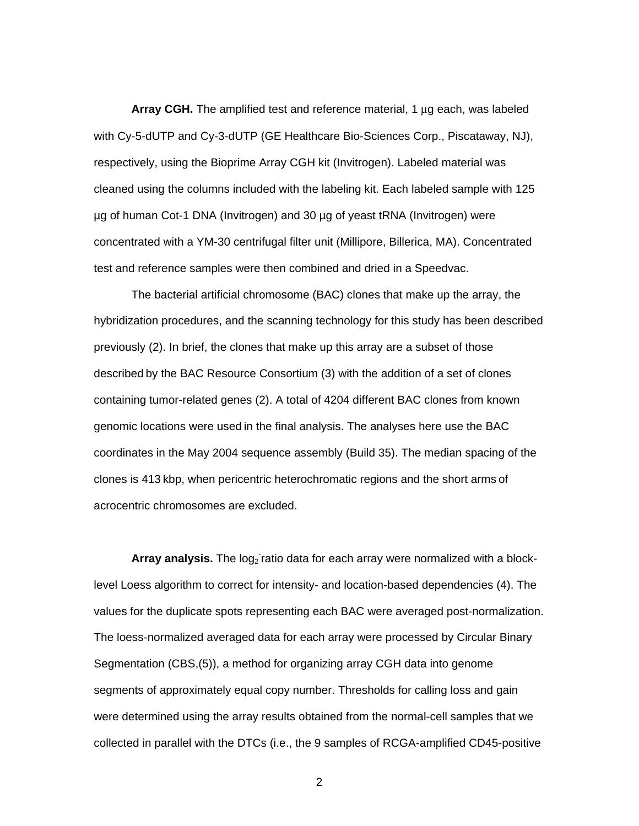**Array CGH.** The amplified test and reference material, 1 μg each, was labeled with Cy-5-dUTP and Cy-3-dUTP (GE Healthcare Bio-Sciences Corp., Piscataway, NJ), respectively, using the Bioprime Array CGH kit (Invitrogen). Labeled material was cleaned using the columns included with the labeling kit. Each labeled sample with 125 µg of human Cot-1 DNA (Invitrogen) and 30 µg of yeast tRNA (Invitrogen) were concentrated with a YM-30 centrifugal filter unit (Millipore, Billerica, MA). Concentrated test and reference samples were then combined and dried in a Speedvac.

The bacterial artificial chromosome (BAC) clones that make up the array, the hybridization procedures, and the scanning technology for this study has been described previously (2). In brief, the clones that make up this array are a subset of those described by the BAC Resource Consortium (3) with the addition of a set of clones containing tumor-related genes (2). A total of 4204 different BAC clones from known genomic locations were used in the final analysis. The analyses here use the BAC coordinates in the May 2004 sequence assembly (Build 35). The median spacing of the clones is 413 kbp, when pericentric heterochromatic regions and the short arms of acrocentric chromosomes are excluded.

Array analysis. The log<sub>2</sub> ratio data for each array were normalized with a blocklevel Loess algorithm to correct for intensity- and location-based dependencies (4). The values for the duplicate spots representing each BAC were averaged post-normalization. The loess-normalized averaged data for each array were processed by Circular Binary Segmentation (CBS,(5)), a method for organizing array CGH data into genome segments of approximately equal copy number. Thresholds for calling loss and gain were determined using the array results obtained from the normal-cell samples that we collected in parallel with the DTCs (i.e., the 9 samples of RCGA-amplified CD45-positive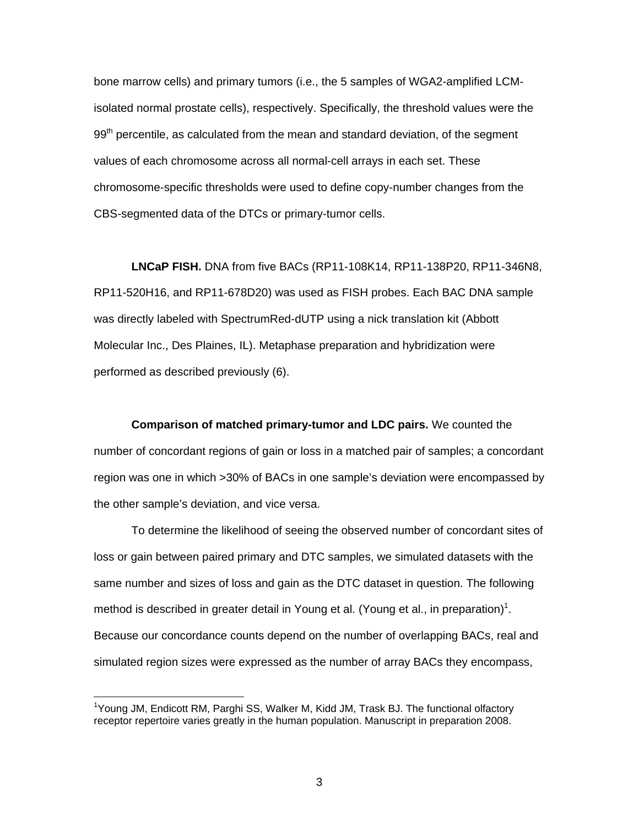bone marrow cells) and primary tumors (i.e., the 5 samples of WGA2-amplified LCMisolated normal prostate cells), respectively. Specifically, the threshold values were the 99<sup>th</sup> percentile, as calculated from the mean and standard deviation, of the segment values of each chromosome across all normal-cell arrays in each set. These chromosome-specific thresholds were used to define copy-number changes from the CBS-segmented data of the DTCs or primary-tumor cells.

**LNCaP FISH.** DNA from five BACs (RP11-108K14, RP11-138P20, RP11-346N8, RP11-520H16, and RP11-678D20) was used as FISH probes. Each BAC DNA sample was directly labeled with SpectrumRed-dUTP using a nick translation kit (Abbott Molecular Inc., Des Plaines, IL). Metaphase preparation and hybridization were performed as described previously (6).

**Comparison of matched primary-tumor and LDC pairs.** We counted the number of concordant regions of gain or loss in a matched pair of samples; a concordant region was one in which >30% of BACs in one sample's deviation were encompassed by the other sample's deviation, and vice versa.

To determine the likelihood of seeing the observed number of concordant sites of loss or gain between paired primary and DTC samples, we simulated datasets with the same number and sizes of loss and gain as the DTC dataset in question. The following method is described in greater detail in Young et al. (Young et al., in preparation)<sup>1</sup>. Because our concordance counts depend on the number of overlapping BACs, real and simulated region sizes were expressed as the number of array BACs they encompass,

 $\overline{a}$ 

<sup>&</sup>lt;sup>1</sup>Young JM, Endicott RM, Parghi SS, Walker M, Kidd JM, Trask BJ. The functional olfactory receptor repertoire varies greatly in the human population. Manuscript in preparation 2008.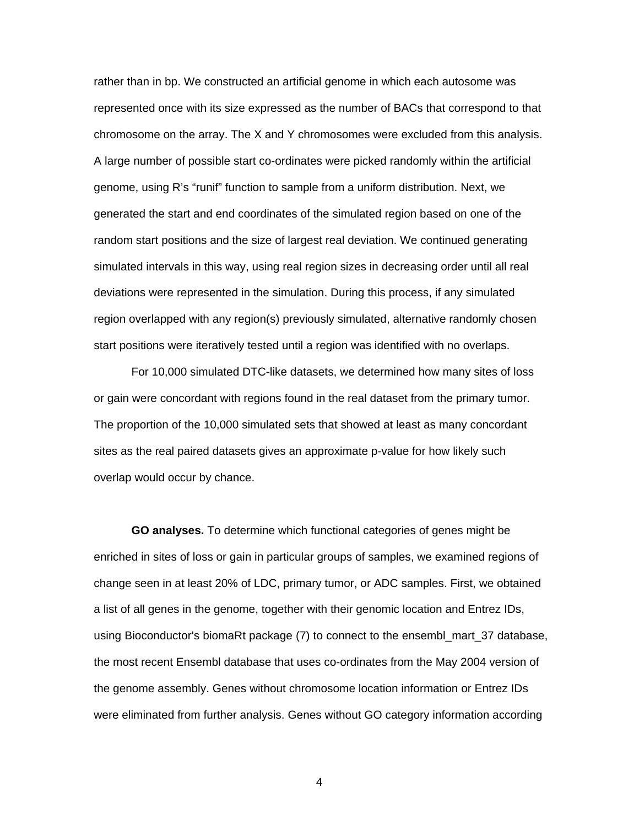rather than in bp. We constructed an artificial genome in which each autosome was represented once with its size expressed as the number of BACs that correspond to that chromosome on the array. The X and Y chromosomes were excluded from this analysis. A large number of possible start co-ordinates were picked randomly within the artificial genome, using R's "runif" function to sample from a uniform distribution. Next, we generated the start and end coordinates of the simulated region based on one of the random start positions and the size of largest real deviation. We continued generating simulated intervals in this way, using real region sizes in decreasing order until all real deviations were represented in the simulation. During this process, if any simulated region overlapped with any region(s) previously simulated, alternative randomly chosen start positions were iteratively tested until a region was identified with no overlaps.

For 10,000 simulated DTC-like datasets, we determined how many sites of loss or gain were concordant with regions found in the real dataset from the primary tumor. The proportion of the 10,000 simulated sets that showed at least as many concordant sites as the real paired datasets gives an approximate p-value for how likely such overlap would occur by chance.

**GO analyses.** To determine which functional categories of genes might be enriched in sites of loss or gain in particular groups of samples, we examined regions of change seen in at least 20% of LDC, primary tumor, or ADC samples. First, we obtained a list of all genes in the genome, together with their genomic location and Entrez IDs, using Bioconductor's biomaRt package (7) to connect to the ensembl\_mart\_37 database, the most recent Ensembl database that uses co-ordinates from the May 2004 version of the genome assembly. Genes without chromosome location information or Entrez IDs were eliminated from further analysis. Genes without GO category information according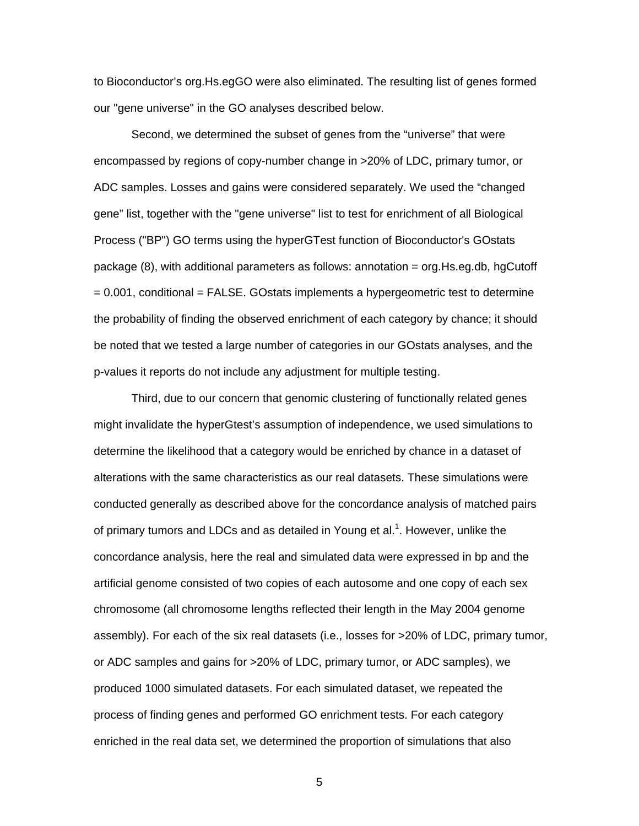to Bioconductor's org.Hs.egGO were also eliminated. The resulting list of genes formed our "gene universe" in the GO analyses described below.

Second, we determined the subset of genes from the "universe" that were encompassed by regions of copy-number change in >20% of LDC, primary tumor, or ADC samples. Losses and gains were considered separately. We used the "changed gene" list, together with the "gene universe" list to test for enrichment of all Biological Process ("BP") GO terms using the hyperGTest function of Bioconductor's GOstats package (8), with additional parameters as follows: annotation = org.Hs.eg.db, hgCutoff = 0.001, conditional = FALSE. GOstats implements a hypergeometric test to determine the probability of finding the observed enrichment of each category by chance; it should be noted that we tested a large number of categories in our GOstats analyses, and the p-values it reports do not include any adjustment for multiple testing.

Third, due to our concern that genomic clustering of functionally related genes might invalidate the hyperGtest's assumption of independence, we used simulations to determine the likelihood that a category would be enriched by chance in a dataset of alterations with the same characteristics as our real datasets. These simulations were conducted generally as described above for the concordance analysis of matched pairs of primary tumors and LDCs and as detailed in Young et al.<sup>1</sup>. However, unlike the concordance analysis, here the real and simulated data were expressed in bp and the artificial genome consisted of two copies of each autosome and one copy of each sex chromosome (all chromosome lengths reflected their length in the May 2004 genome assembly). For each of the six real datasets (i.e., losses for >20% of LDC, primary tumor, or ADC samples and gains for >20% of LDC, primary tumor, or ADC samples), we produced 1000 simulated datasets. For each simulated dataset, we repeated the process of finding genes and performed GO enrichment tests. For each category enriched in the real data set, we determined the proportion of simulations that also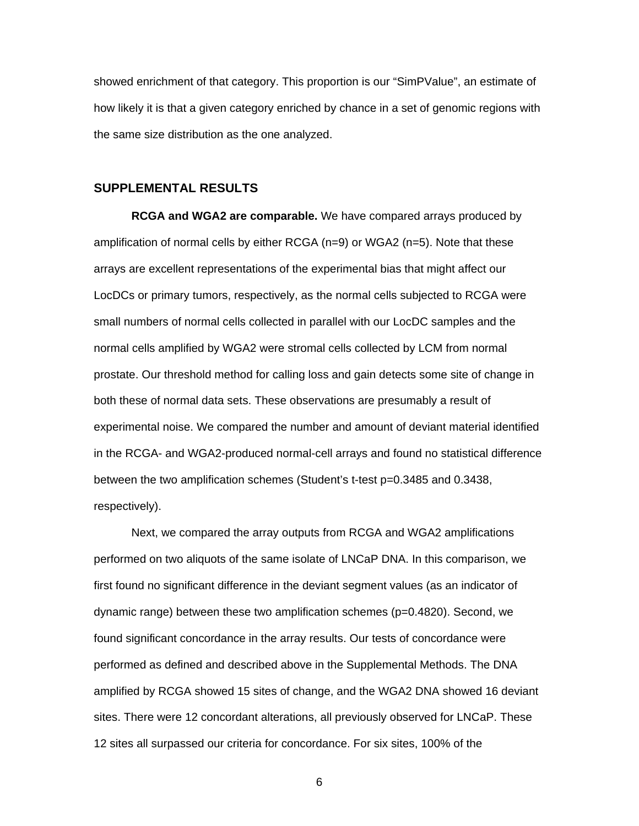showed enrichment of that category. This proportion is our "SimPValue", an estimate of how likely it is that a given category enriched by chance in a set of genomic regions with the same size distribution as the one analyzed.

#### **SUPPLEMENTAL RESULTS**

**RCGA and WGA2 are comparable.** We have compared arrays produced by amplification of normal cells by either RCGA  $(n=9)$  or WGA2  $(n=5)$ . Note that these arrays are excellent representations of the experimental bias that might affect our LocDCs or primary tumors, respectively, as the normal cells subjected to RCGA were small numbers of normal cells collected in parallel with our LocDC samples and the normal cells amplified by WGA2 were stromal cells collected by LCM from normal prostate. Our threshold method for calling loss and gain detects some site of change in both these of normal data sets. These observations are presumably a result of experimental noise. We compared the number and amount of deviant material identified in the RCGA- and WGA2-produced normal-cell arrays and found no statistical difference between the two amplification schemes (Student's t-test p=0.3485 and 0.3438, respectively).

Next, we compared the array outputs from RCGA and WGA2 amplifications performed on two aliquots of the same isolate of LNCaP DNA. In this comparison, we first found no significant difference in the deviant segment values (as an indicator of dynamic range) between these two amplification schemes (p=0.4820). Second, we found significant concordance in the array results. Our tests of concordance were performed as defined and described above in the Supplemental Methods. The DNA amplified by RCGA showed 15 sites of change, and the WGA2 DNA showed 16 deviant sites. There were 12 concordant alterations, all previously observed for LNCaP. These 12 sites all surpassed our criteria for concordance. For six sites, 100% of the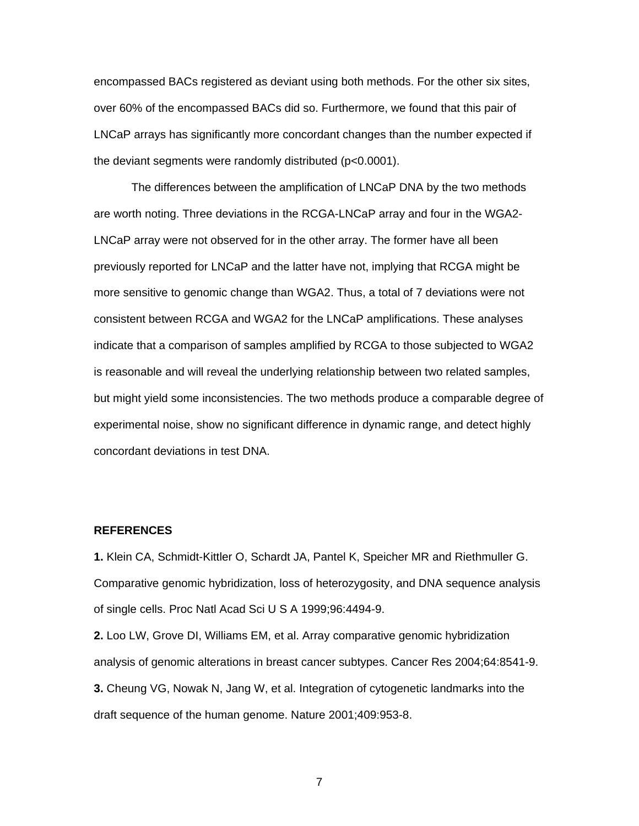encompassed BACs registered as deviant using both methods. For the other six sites, over 60% of the encompassed BACs did so. Furthermore, we found that this pair of LNCaP arrays has significantly more concordant changes than the number expected if the deviant segments were randomly distributed (p<0.0001).

The differences between the amplification of LNCaP DNA by the two methods are worth noting. Three deviations in the RCGA-LNCaP array and four in the WGA2- LNCaP array were not observed for in the other array. The former have all been previously reported for LNCaP and the latter have not, implying that RCGA might be more sensitive to genomic change than WGA2. Thus, a total of 7 deviations were not consistent between RCGA and WGA2 for the LNCaP amplifications. These analyses indicate that a comparison of samples amplified by RCGA to those subjected to WGA2 is reasonable and will reveal the underlying relationship between two related samples, but might yield some inconsistencies. The two methods produce a comparable degree of experimental noise, show no significant difference in dynamic range, and detect highly concordant deviations in test DNA.

## **REFERENCES**

**1.** Klein CA, Schmidt-Kittler O, Schardt JA, Pantel K, Speicher MR and Riethmuller G. Comparative genomic hybridization, loss of heterozygosity, and DNA sequence analysis of single cells. Proc Natl Acad Sci U S A 1999;96:4494-9.

**2.** Loo LW, Grove DI, Williams EM, et al. Array comparative genomic hybridization analysis of genomic alterations in breast cancer subtypes. Cancer Res 2004;64:8541-9. **3.** Cheung VG, Nowak N, Jang W, et al. Integration of cytogenetic landmarks into the draft sequence of the human genome. Nature 2001;409:953-8.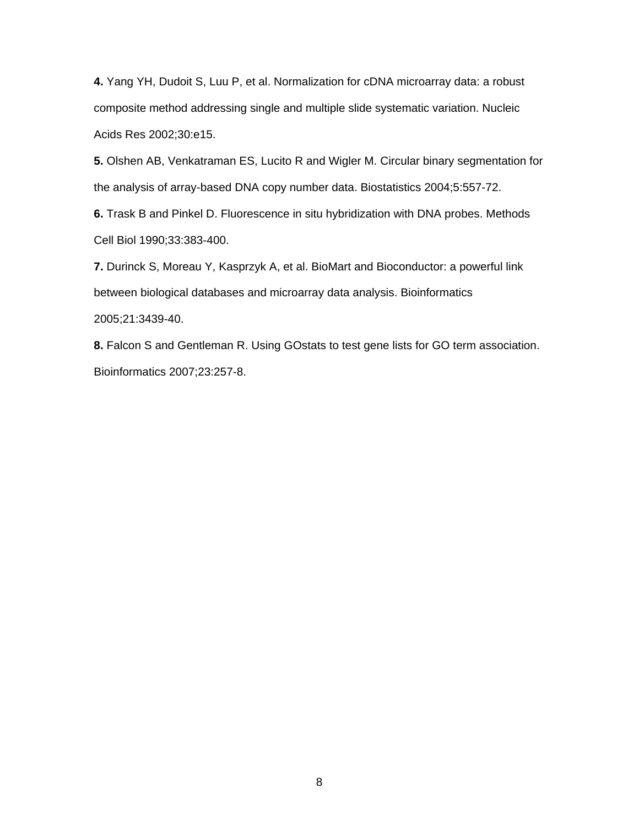**4.** Yang YH, Dudoit S, Luu P, et al. Normalization for cDNA microarray data: a robust composite method addressing single and multiple slide systematic variation. Nucleic Acids Res 2002;30:e15.

**5.** Olshen AB, Venkatraman ES, Lucito R and Wigler M. Circular binary segmentation for the analysis of array-based DNA copy number data. Biostatistics 2004;5:557-72.

**6.** Trask B and Pinkel D. Fluorescence in situ hybridization with DNA probes. Methods Cell Biol 1990;33:383-400.

**7.** Durinck S, Moreau Y, Kasprzyk A, et al. BioMart and Bioconductor: a powerful link between biological databases and microarray data analysis. Bioinformatics 2005;21:3439-40.

**8.** Falcon S and Gentleman R. Using GOstats to test gene lists for GO term association. Bioinformatics 2007;23:257-8.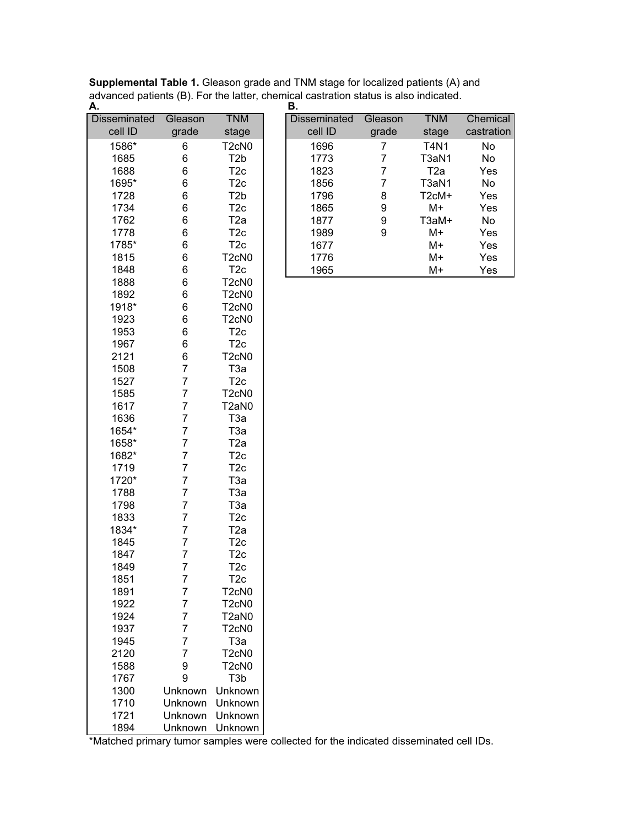| <b>Supplemental Table 1.</b> Gleason grade and TNM stage for localized patients (A) and |
|-----------------------------------------------------------------------------------------|
| advanced patients (B). For the latter, chemical castration status is also indicated.    |
|                                                                                         |

| <b>Disseminated</b> | Gleason        | <b>TNM</b>                     |
|---------------------|----------------|--------------------------------|
| cell ID             | grade          | stage                          |
| 1586*               | 6              | T <sub>2</sub> cN <sub>0</sub> |
| 1685                | 6              | T <sub>2</sub> b               |
| 1688                | 6              | T2c                            |
| 1695*               | 6              | T <sub>2c</sub>                |
| 1728                | 6              | T <sub>2</sub> b               |
| 1734                | 6              | T <sub>2c</sub>                |
| 1762                | 6              | T <sub>2a</sub>                |
| 1778                | 6              | T <sub>2c</sub>                |
| 1785*               | 6              | T <sub>2</sub> c               |
| 1815                | 6              | T <sub>2</sub> cN <sub>0</sub> |
| 1848                | 6              | T <sub>2c</sub>                |
| 1888                | 6              | T <sub>2</sub> cN <sub>0</sub> |
| 1892                | 6              | T <sub>2</sub> cN <sub>0</sub> |
| 1918*               | 6              | T <sub>2</sub> cN <sub>0</sub> |
| 1923                | 6              | T <sub>2</sub> cN <sub>0</sub> |
| 1953                | 6              | T <sub>2</sub> c               |
| 1967                | 6              | T <sub>2c</sub>                |
| 2121                | 6              | T <sub>2</sub> cN <sub>0</sub> |
| 1508                | $\overline{7}$ | T3a                            |
| 1527                | $\overline{7}$ | T <sub>2c</sub>                |
| 1585                | $\overline{7}$ | T <sub>2</sub> cN <sub>0</sub> |
| 1617                | $\overline{7}$ | T2aN0                          |
| 1636                | $\overline{7}$ | T <sub>3a</sub>                |
| 1654*               | $\overline{7}$ | T <sub>3a</sub>                |
| 1658*               | $\overline{7}$ | T2a                            |
| 1682*               | 7              | T <sub>2c</sub>                |
| 1719                | 7              | T <sub>2c</sub>                |
| 1720*               | $\overline{7}$ | T <sub>3a</sub>                |
| 1788                | $\overline{7}$ | T <sub>3a</sub>                |
| 1798                | $\overline{7}$ | T <sub>3a</sub>                |
| 1833                | 7              | T <sub>2c</sub>                |
| 1834*               | $\overline{7}$ | T <sub>2a</sub>                |
| 1845                | $\overline{7}$ | T <sub>2c</sub>                |
| 1847                | 7              | T <sub>2c</sub>                |
| 1849                | $\overline{7}$ | T2c                            |
| 1851                | 7              | T <sub>2c</sub>                |
|                     |                |                                |
| 1891                | 7<br>7         | T2cN0                          |
| 1922                |                | T <sub>2</sub> cN <sub>0</sub> |
| 1924                | 7              | T2aN0                          |
| 1937                | 7              | T <sub>2</sub> cN <sub>0</sub> |
| 1945                | 7              | ТЗа                            |
| 2120                | 7              | T <sub>2</sub> cN <sub>0</sub> |
| 1588                | 9              | T <sub>2</sub> cN <sub>0</sub> |
| 1767                | 9              | T3b                            |
| 1300                | Unknown        | Unknown                        |
| 1710                | Unknown        | Unknown                        |
| 1721                | Unknown        | Unknown                        |
| 1894                | Unknown        | Unknown                        |

|           |         |                                | в.                  |         |                    |            |
|-----------|---------|--------------------------------|---------------------|---------|--------------------|------------|
| seminated | Gleason | <b>TNM</b>                     | <b>Disseminated</b> | Gleason | <b>TNM</b>         | Chemical   |
| cell ID   | grade   | stage                          | cell ID             | grade   | stage              | castration |
| 1586*     | 6       | T2cN0                          | 1696                | 7       | <b>T4N1</b>        | No         |
| 1685      | 6       | T <sub>2</sub> b               | 1773                | 7       | T3aN1              | No         |
| 1688      | 6       | T <sub>2</sub> c               | 1823                | 7       | T <sub>2</sub> a   | Yes        |
| 1695*     | 6       | T <sub>2</sub> c               | 1856                | 7       | T3aN1              | No         |
| 1728      | 6       | T2b                            | 1796                | 8       | T <sub>2</sub> cM+ | Yes        |
| 1734      | 6       | T <sub>2c</sub>                | 1865                | 9       | M+                 | Yes        |
| 1762      | 6       | T <sub>2</sub> a               | 1877                | 9       | T3aM+              | No         |
| 1778      | 6       | T <sub>2c</sub>                | 1989                | 9       | M+                 | Yes        |
| 1785*     | 6       | T <sub>2c</sub>                | 1677                |         | M+                 | Yes        |
| 1815      | 6       | T <sub>2</sub> cN <sub>0</sub> | 1776                |         | M+                 | Yes        |
| 1848      | 6       | T <sub>2c</sub>                | 1965                |         | M+                 | Yes        |
| 1888      | 6       | T <sub>2</sub> cN <sub>0</sub> |                     |         |                    |            |
| 1892      | 6       | T <sub>2</sub> cN <sub>0</sub> |                     |         |                    |            |
| 1918*     | 6       | T <sub>2</sub> cN <sub>0</sub> |                     |         |                    |            |
| 1923      | 6       | T <sub>2</sub> cN <sub>0</sub> |                     |         |                    |            |
| 1953      | 6       | T <sub>2c</sub>                |                     |         |                    |            |
| 1967      | 6       | T <sub>2c</sub>                |                     |         |                    |            |
| 2121      | 6       | T <sub>2</sub> cN <sub>0</sub> |                     |         |                    |            |
| 1508      | 7       | ТЗа                            |                     |         |                    |            |
| 1527      | 7       | T <sub>2c</sub>                |                     |         |                    |            |
| 1585      | 7       | T <sub>2</sub> cN <sub>0</sub> |                     |         |                    |            |
| 1617      |         | T2aN0                          |                     |         |                    |            |

\*Matched primary tumor samples were collected for the indicated disseminated cell IDs.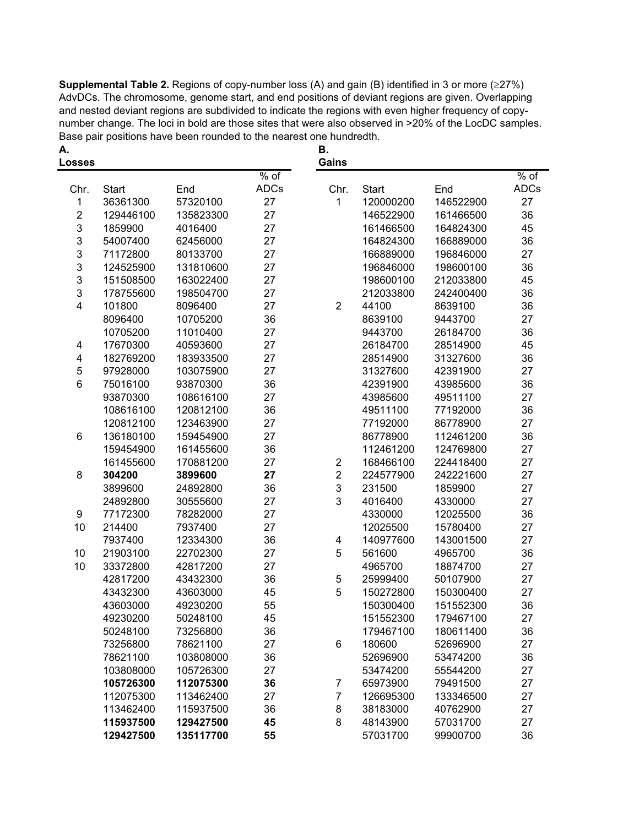**Supplemental Table 2.** Regions of copy-number loss (A) and gain (B) identified in 3 or more ( $\geq$ 27%) AdvDCs. The chromosome, genome start, and end positions of deviant regions are given. Overlapping and nested deviant regions are subdivided to indicate the regions with even higher frequency of copynumber change. The loci in bold are those sites that were also observed in >20% of the LocDC samples. Base pair positions have been rounded to the nearest one hundredth.

| А.<br><b>Losses</b>     |              |           |             | В.<br>Gains    |              |           |                         |
|-------------------------|--------------|-----------|-------------|----------------|--------------|-----------|-------------------------|
|                         |              |           | $%$ of      |                |              |           | $\frac{1}{\sqrt{2}}$ of |
| Chr.                    | <b>Start</b> | End       | <b>ADCs</b> | Chr.           | <b>Start</b> | End       | <b>ADCs</b>             |
| 1                       | 36361300     | 57320100  | 27          | $\mathbf{1}$   | 120000200    | 146522900 | 27                      |
| $\overline{2}$          | 129446100    | 135823300 | 27          |                | 146522900    | 161466500 | 36                      |
| 3                       | 1859900      | 4016400   | 27          |                | 161466500    | 164824300 | 45                      |
| 3                       | 54007400     | 62456000  | 27          |                | 164824300    | 166889000 | 36                      |
| 3                       | 71172800     | 80133700  | 27          |                | 166889000    | 196846000 | 27                      |
| 3                       | 124525900    | 131810600 | 27          |                | 196846000    | 198600100 | 36                      |
| 3                       | 151508500    | 163022400 | 27          |                | 198600100    | 212033800 | 45                      |
| 3                       | 178755600    | 198504700 | 27          |                | 212033800    | 242400400 | 36                      |
| $\overline{\mathbf{4}}$ | 101800       | 8096400   | 27          | $\overline{2}$ | 44100        | 8639100   | 36                      |
|                         | 8096400      | 10705200  | 36          |                | 8639100      | 9443700   | 27                      |
|                         | 10705200     | 11010400  | 27          |                | 9443700      | 26184700  | 36                      |
| 4                       | 17670300     | 40593600  | 27          |                | 26184700     | 28514900  | 45                      |
| 4                       | 182769200    | 183933500 | 27          |                | 28514900     | 31327600  | 36                      |
| 5                       | 97928000     | 103075900 | 27          |                | 31327600     | 42391900  | 27                      |
| 6                       | 75016100     | 93870300  | 36          |                | 42391900     | 43985600  | 36                      |
|                         | 93870300     | 108616100 | 27          |                | 43985600     | 49511100  | 27                      |
|                         | 108616100    | 120812100 | 36          |                | 49511100     | 77192000  | 36                      |
|                         | 120812100    | 123463900 | 27          |                | 77192000     | 86778900  | 27                      |
| 6                       | 136180100    | 159454900 | 27          |                | 86778900     | 112461200 | 36                      |
|                         | 159454900    | 161455600 | 36          |                | 112461200    | 124769800 | 27                      |
|                         | 161455600    | 170881200 | 27          | $\overline{2}$ | 168466100    | 224418400 | 27                      |
| 8                       | 304200       | 3899600   | 27          | $\overline{2}$ | 224577900    | 242221600 | 27                      |
|                         | 3899600      | 24892800  | 36          | 3              | 231500       | 1859900   | 27                      |
|                         | 24892800     | 30555600  | 27          | 3              | 4016400      | 4330000   | 27                      |
| 9                       | 77172300     | 78282000  | 27          |                | 4330000      | 12025500  | 36                      |
| 10                      | 214400       | 7937400   | 27          |                | 12025500     | 15780400  | 27                      |
|                         | 7937400      | 12334300  | 36          | 4              | 140977600    | 143001500 | 27                      |
| 10                      | 21903100     | 22702300  | 27          | 5              | 561600       | 4965700   | 36                      |
| 10                      | 33372800     | 42817200  | 27          |                | 4965700      | 18874700  | 27                      |
|                         | 42817200     | 43432300  | 36          | 5              | 25999400     | 50107900  | 27                      |
|                         | 43432300     | 43603000  | 45          | 5              | 150272800    | 150300400 | 27                      |
|                         | 43603000     | 49230200  | 55          |                | 150300400    | 151552300 | 36                      |
|                         | 49230200     | 50248100  | 45          |                | 151552300    | 179467100 | 27                      |
|                         | 50248100     | 73256800  | 36          |                | 179467100    | 180611400 | 36                      |
|                         | 73256800     | 78621100  | 27          | 6              | 180600       | 52696900  | 27                      |
|                         | 78621100     | 103808000 | 36          |                | 52696900     | 53474200  | 36                      |
|                         | 103808000    | 105726300 | 27          |                | 53474200     | 55544200  | 27                      |
|                         | 105726300    | 112075300 | 36          | 7              | 65973900     | 79491500  | 27                      |
|                         | 112075300    | 113462400 | 27          | 7              | 126695300    | 133346500 | 27                      |
|                         | 113462400    | 115937500 | 36          | 8              | 38183000     | 40762900  | 27                      |
|                         | 115937500    | 129427500 | 45          | 8              | 48143900     | 57031700  | 27                      |
|                         | 129427500    | 135117700 | 55          |                | 57031700     | 99900700  | 36                      |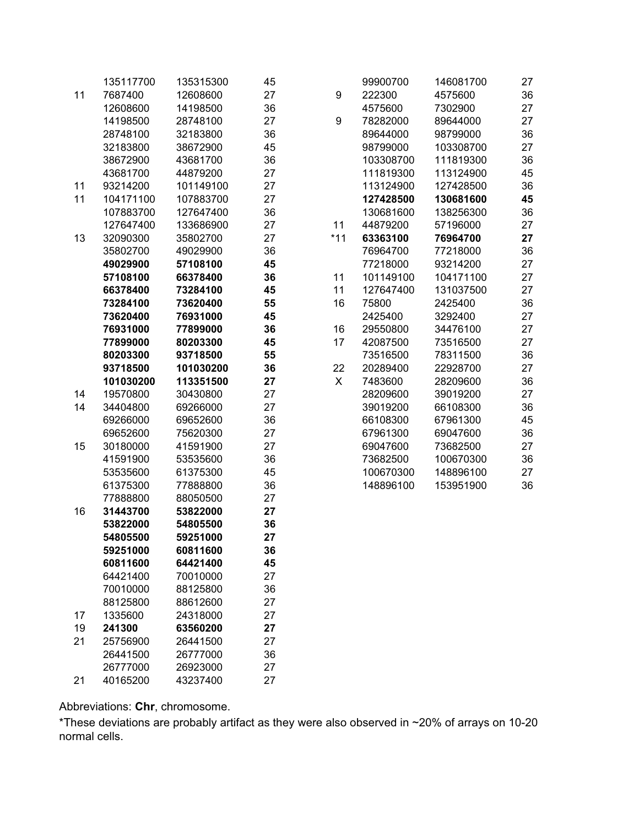|    | 135117700 | 135315300 | 45 |                  | 99900700  | 146081700 | 27 |
|----|-----------|-----------|----|------------------|-----------|-----------|----|
| 11 | 7687400   | 12608600  | 27 | $\boldsymbol{9}$ | 222300    | 4575600   | 36 |
|    | 12608600  | 14198500  | 36 |                  | 4575600   | 7302900   | 27 |
|    | 14198500  | 28748100  | 27 | 9                | 78282000  | 89644000  | 27 |
|    | 28748100  | 32183800  | 36 |                  | 89644000  | 98799000  | 36 |
|    | 32183800  | 38672900  | 45 |                  | 98799000  | 103308700 | 27 |
|    | 38672900  | 43681700  | 36 |                  | 103308700 | 111819300 | 36 |
|    | 43681700  | 44879200  | 27 |                  | 111819300 | 113124900 | 45 |
| 11 | 93214200  | 101149100 | 27 |                  | 113124900 | 127428500 | 36 |
| 11 | 104171100 | 107883700 | 27 |                  | 127428500 | 130681600 | 45 |
|    | 107883700 | 127647400 | 36 |                  | 130681600 | 138256300 | 36 |
|    | 127647400 | 133686900 | 27 | 11               | 44879200  | 57196000  | 27 |
| 13 | 32090300  | 35802700  | 27 | $*11$            | 63363100  | 76964700  | 27 |
|    | 35802700  | 49029900  | 36 |                  | 76964700  | 77218000  | 36 |
|    | 49029900  | 57108100  | 45 |                  | 77218000  | 93214200  | 27 |
|    | 57108100  | 66378400  | 36 | 11               | 101149100 | 104171100 | 27 |
|    | 66378400  | 73284100  | 45 | 11               | 127647400 | 131037500 | 27 |
|    | 73284100  | 73620400  | 55 | 16               | 75800     | 2425400   | 36 |
|    | 73620400  | 76931000  | 45 |                  | 2425400   | 3292400   | 27 |
|    | 76931000  | 77899000  | 36 | 16               | 29550800  | 34476100  | 27 |
|    | 77899000  | 80203300  | 45 | 17               | 42087500  | 73516500  | 27 |
|    | 80203300  | 93718500  | 55 |                  | 73516500  | 78311500  | 36 |
|    | 93718500  | 101030200 | 36 | 22               | 20289400  | 22928700  | 27 |
|    | 101030200 | 113351500 | 27 | X                | 7483600   | 28209600  | 36 |
| 14 | 19570800  | 30430800  | 27 |                  | 28209600  | 39019200  | 27 |
| 14 | 34404800  | 69266000  | 27 |                  | 39019200  | 66108300  | 36 |
|    | 69266000  | 69652600  | 36 |                  | 66108300  | 67961300  | 45 |
|    | 69652600  | 75620300  | 27 |                  | 67961300  | 69047600  | 36 |
| 15 | 30180000  | 41591900  | 27 |                  | 69047600  | 73682500  | 27 |
|    | 41591900  | 53535600  | 36 |                  | 73682500  | 100670300 | 36 |
|    | 53535600  | 61375300  | 45 |                  | 100670300 | 148896100 | 27 |
|    | 61375300  | 77888800  | 36 |                  | 148896100 | 153951900 | 36 |
|    | 77888800  | 88050500  | 27 |                  |           |           |    |
| 16 | 31443700  | 53822000  | 27 |                  |           |           |    |
|    | 53822000  | 54805500  | 36 |                  |           |           |    |
|    | 54805500  | 59251000  | 27 |                  |           |           |    |
|    | 59251000  | 60811600  | 36 |                  |           |           |    |
|    | 60811600  | 64421400  | 45 |                  |           |           |    |
|    | 64421400  | 70010000  | 27 |                  |           |           |    |
|    | 70010000  | 88125800  | 36 |                  |           |           |    |
|    | 88125800  | 88612600  | 27 |                  |           |           |    |
| 17 | 1335600   | 24318000  | 27 |                  |           |           |    |
| 19 | 241300    | 63560200  | 27 |                  |           |           |    |
| 21 | 25756900  | 26441500  | 27 |                  |           |           |    |
|    | 26441500  | 26777000  | 36 |                  |           |           |    |
|    | 26777000  | 26923000  | 27 |                  |           |           |    |
| 21 | 40165200  | 43237400  | 27 |                  |           |           |    |

Abbreviations: **Chr**, chromosome.

\*These deviations are probably artifact as they were also observed in ~20% of arrays on 10-20 normal cells.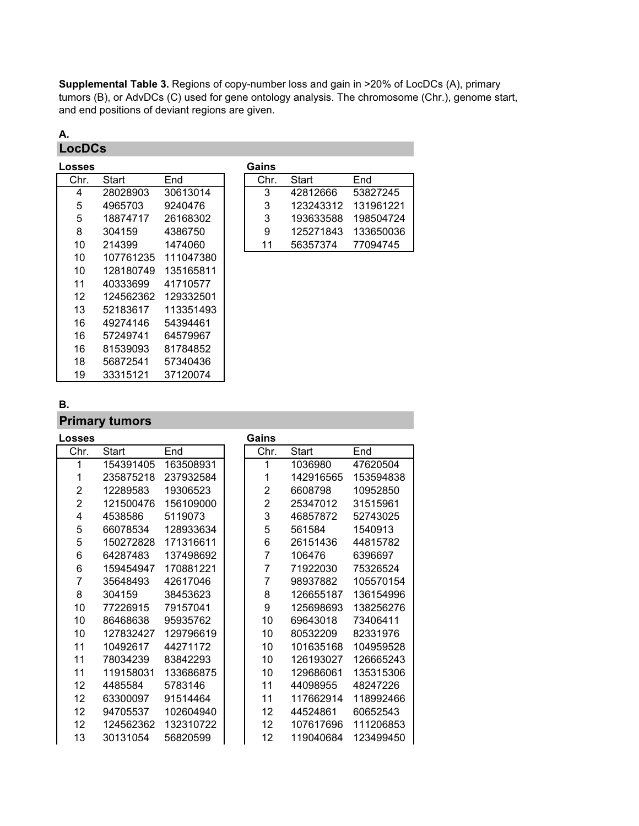**Supplemental Table 3.** Regions of copy-number loss and gain in >20% of LocDCs (A), primary tumors (B), or AdvDCs (C) used for gene ontology analysis. The chromosome (Chr.), genome start, and end positions of deviant regions are given.

## **A. LocDCs**

| Losses |           |           | Gains |           |          |
|--------|-----------|-----------|-------|-----------|----------|
| Chr.   | Start     | End       | Chr.  | Start     | End      |
| 4      | 28028903  | 30613014  | 3     | 42812666  | 53827245 |
| 5      | 4965703   | 9240476   | 3     | 123243312 | 13196122 |
| 5      | 18874717  | 26168302  | 3     | 193633588 | 19850472 |
| 8      | 304159    | 4386750   | 9     | 125271843 | 13365003 |
| 10     | 214399    | 1474060   | 11    | 56357374  | 77094745 |
| 10     | 107761235 | 111047380 |       |           |          |
| 10     | 128180749 | 135165811 |       |           |          |
| 11     | 40333699  | 41710577  |       |           |          |
| 12     | 124562362 | 129332501 |       |           |          |
| 13     | 52183617  | 113351493 |       |           |          |
| 16     | 49274146  | 54394461  |       |           |          |
| 16     | 57249741  | 64579967  |       |           |          |
| 16     | 81539093  | 81784852  |       |           |          |
| 18     | 56872541  | 57340436  |       |           |          |
| 19     | 33315121  | 37120074  |       |           |          |

| ses |          |          | Gains |           |           |
|-----|----------|----------|-------|-----------|-----------|
| hr. | Start    | End      | Chr.  | Start     | End       |
| 4   | 28028903 | 30613014 | 3     | 42812666  | 53827245  |
| 5   | 4965703  | 9240476  | 3     | 123243312 | 131961221 |
| 5   | 18874717 | 26168302 | 3     | 193633588 | 198504724 |
| 8   | 304159   | 4386750  | 9     | 125271843 | 133650036 |
| 10  | 214399   | 1474060  | 11    | 56357374  | 77094745  |

## **B.**

## **Primary tumors**

| Losses         |           |           | Gains          |           |           |
|----------------|-----------|-----------|----------------|-----------|-----------|
| Chr.           | Start     | End       | Chr.           | Start     | End       |
| 1              | 154391405 | 163508931 | 1              | 1036980   | 47620504  |
| 1              | 235875218 | 237932584 | 1              | 142916565 | 153594838 |
| $\overline{2}$ | 12289583  | 19306523  | $\overline{2}$ | 6608798   | 10952850  |
| $\overline{2}$ | 121500476 | 156109000 | $\overline{2}$ | 25347012  | 31515961  |
| 4              | 4538586   | 5119073   | 3              | 46857872  | 52743025  |
| 5              | 66078534  | 128933634 | 5              | 561584    | 1540913   |
| 5              | 150272828 | 171316611 | 6              | 26151436  | 44815782  |
| 6              | 64287483  | 137498692 | 7              | 106476    | 6396697   |
| 6              | 159454947 | 170881221 | 7              | 71922030  | 75326524  |
| 7              | 35648493  | 42617046  | 7              | 98937882  | 105570154 |
| 8              | 304159    | 38453623  | 8              | 126655187 | 136154996 |
| 10             | 77226915  | 79157041  | 9              | 125698693 | 138256276 |
| 10             | 86468638  | 95935762  | 10             | 69643018  | 73406411  |
| 10             | 127832427 | 129796619 | 10             | 80532209  | 82331976  |
| 11             | 10492617  | 44271172  | 10             | 101635168 | 104959528 |
| 11             | 78034239  | 83842293  | 10             | 126193027 | 126665243 |
| 11             | 119158031 | 133686875 | 10             | 129686061 | 135315306 |
| 12             | 4485584   | 5783146   | 11             | 44098955  | 48247226  |
| 12             | 63300097  | 91514464  | 11             | 117662914 | 118992466 |
| 12             | 94705537  | 102604940 | 12             | 44524861  | 60652543  |
| 12             | 124562362 | 132310722 | 12             | 107617696 | 111206853 |
| 13             | 30131054  | 56820599  | 12             | 119040684 | 123499450 |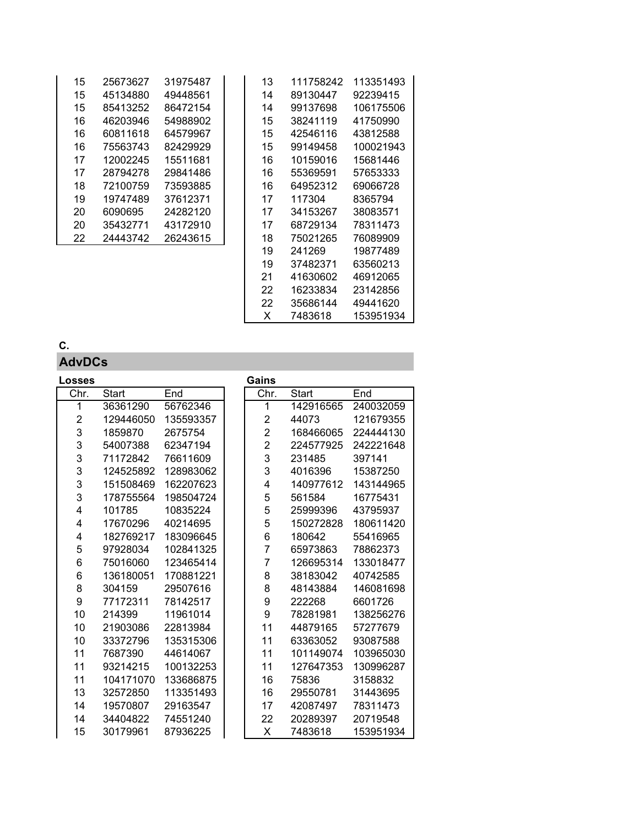| 15 | 25673627 | 31975487 | 13                       | 111758242 | 1133514 |
|----|----------|----------|--------------------------|-----------|---------|
| 15 | 45134880 | 49448561 | 14                       | 89130447  | 9223941 |
| 15 | 85413252 | 86472154 | 14                       | 99137698  | 1061755 |
| 16 | 46203946 | 54988902 | 15                       | 38241119  | 4175099 |
| 16 | 60811618 | 64579967 | 15                       | 42546116  | 4381258 |
| 16 | 75563743 | 82429929 | 15                       | 99149458  | 1000219 |
| 17 | 12002245 | 15511681 | 16                       | 10159016  | 1568144 |
| 17 | 28794278 | 29841486 | 16                       | 55369591  | 5765333 |
| 18 | 72100759 | 73593885 | 16                       | 64952312  | 6906672 |
| 19 | 19747489 | 37612371 | 17                       | 117304    | 8365794 |
| 20 | 6090695  | 24282120 | 17                       | 34153267  | 3808357 |
| 20 | 35432771 | 43172910 | 17                       | 68729134  | 7831147 |
| 22 | 24443742 | 26243615 | 18                       | 75021265  | 7608990 |
|    |          |          | $\overline{\phantom{a}}$ | .         | .       |

| 15 | 25673627 | 31975487 | 13 | 111758242 | 113351493 |
|----|----------|----------|----|-----------|-----------|
| 15 | 45134880 | 49448561 | 14 | 89130447  | 92239415  |
| 15 | 85413252 | 86472154 | 14 | 99137698  | 106175506 |
| 16 | 46203946 | 54988902 | 15 | 38241119  | 41750990  |
| 16 | 60811618 | 64579967 | 15 | 42546116  | 43812588  |
| 16 | 75563743 | 82429929 | 15 | 99149458  | 100021943 |
| 17 | 12002245 | 15511681 | 16 | 10159016  | 15681446  |
| 17 | 28794278 | 29841486 | 16 | 55369591  | 57653333  |
| 18 | 72100759 | 73593885 | 16 | 64952312  | 69066728  |
| 19 | 19747489 | 37612371 | 17 | 117304    | 8365794   |
| 20 | 6090695  | 24282120 | 17 | 34153267  | 38083571  |
| 20 | 35432771 | 43172910 | 17 | 68729134  | 78311473  |
| 22 | 24443742 | 26243615 | 18 | 75021265  | 76089909  |
|    |          |          | 19 | 241269    | 19877489  |
|    |          |          | 19 | 37482371  | 63560213  |
|    |          |          | 21 | 41630602  | 46912065  |
|    |          |          | 22 | 16233834  | 23142856  |
|    |          |          | 22 | 35686144  | 49441620  |
|    |          |          | х  | 7483618   | 153951934 |

## **C.**

# **AdvDCs**

| Losses                  |              |           | Gains          |              |           |
|-------------------------|--------------|-----------|----------------|--------------|-----------|
| Chr.                    | <b>Start</b> | End       | Chr.           | <b>Start</b> | End       |
| 1                       | 36361290     | 56762346  | 1              | 142916565    | 240032059 |
| $\overline{\mathbf{c}}$ | 129446050    | 135593357 | 2              | 44073        | 121679355 |
| 3                       | 1859870      | 2675754   | $\overline{2}$ | 168466065    | 224444130 |
| 3                       | 54007388     | 62347194  | $\overline{c}$ | 224577925    | 242221648 |
| 3                       | 71172842     | 76611609  | 3              | 231485       | 397141    |
| 3                       | 124525892    | 128983062 | 3              | 4016396      | 15387250  |
| 3                       | 151508469    | 162207623 | 4              | 140977612    | 143144965 |
| 3                       | 178755564    | 198504724 | 5              | 561584       | 16775431  |
| 4                       | 101785       | 10835224  | 5              | 25999396     | 43795937  |
| 4                       | 17670296     | 40214695  | 5              | 150272828    | 180611420 |
| 4                       | 182769217    | 183096645 | 6              | 180642       | 55416965  |
| 5                       | 97928034     | 102841325 | 7              | 65973863     | 78862373  |
| 6                       | 75016060     | 123465414 | 7              | 126695314    | 133018477 |
| 6                       | 136180051    | 170881221 | 8              | 38183042     | 40742585  |
| 8                       | 304159       | 29507616  | 8              | 48143884     | 146081698 |
| 9                       | 77172311     | 78142517  | 9              | 222268       | 6601726   |
| 10                      | 214399       | 11961014  | 9              | 78281981     | 138256276 |
| 10                      | 21903086     | 22813984  | 11             | 44879165     | 57277679  |
| 10                      | 33372796     | 135315306 | 11             | 63363052     | 93087588  |
| 11                      | 7687390      | 44614067  | 11             | 101149074    | 103965030 |
| 11                      | 93214215     | 100132253 | 11             | 127647353    | 130996287 |
| 11                      | 104171070    | 133686875 | 16             | 75836        | 3158832   |
| 13                      | 32572850     | 113351493 | 16             | 29550781     | 31443695  |
| 14                      | 19570807     | 29163547  | 17             | 42087497     | 78311473  |
| 14                      | 34404822     | 74551240  | 22             | 20289397     | 20719548  |
| 15                      | 30179961     | 87936225  | х              | 7483618      | 153951934 |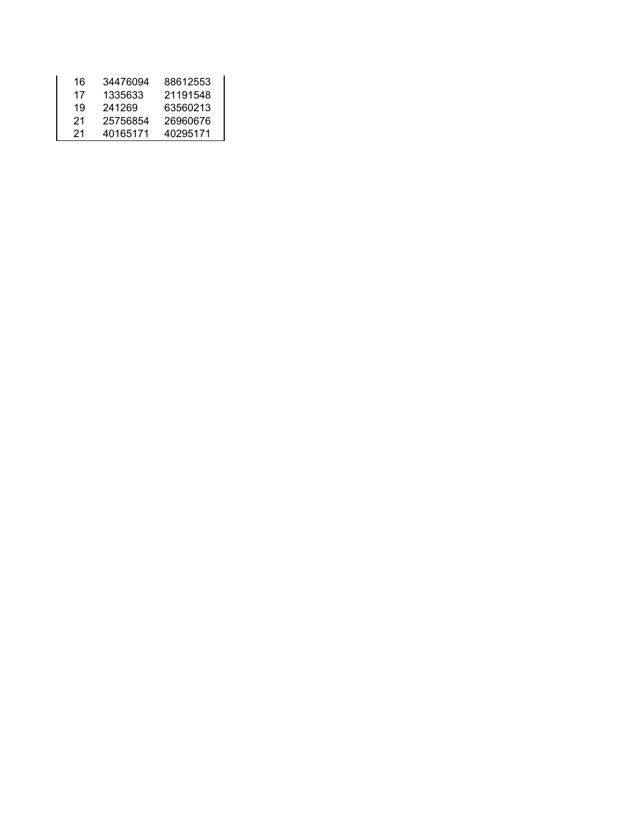| 16 | 34476094 | 88612553 |
|----|----------|----------|
| 17 | 1335633  | 21191548 |
| 19 | 241269   | 63560213 |
| 21 | 25756854 | 26960676 |
| 21 | 40165171 | 40295171 |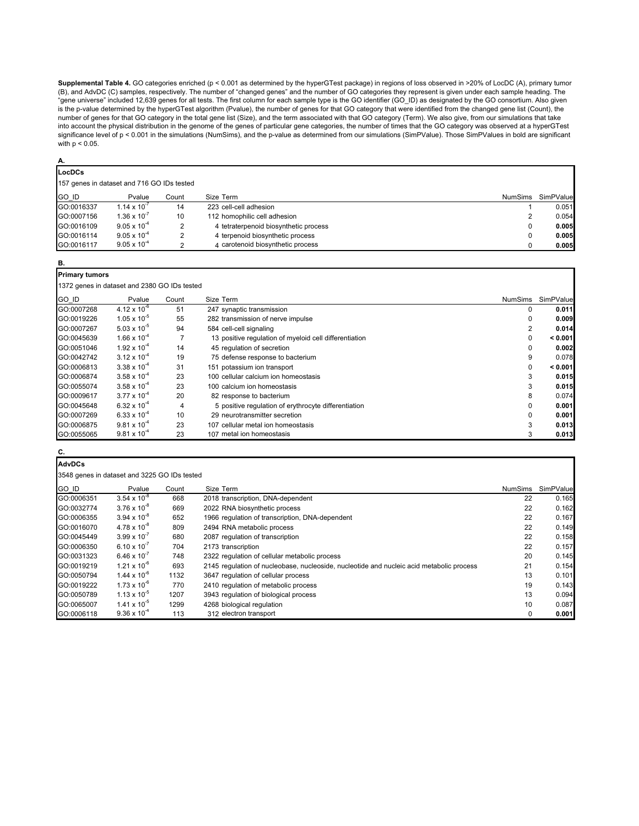**Supplemental Table 4.** GO categories enriched (p < 0.001 as determined by the hyperGTest package) in regions of loss observed in >20% of LocDC (A), primary tumor (B), and AdvDC (C) samples, respectively. The number of "changed genes" and the number of GO categories they represent is given under each sample heading. The "gene universe" included 12,639 genes for all tests. The first column for each sample type is the GO identifier (GO\_ID) as designated by the GO consortium. Also given is the p-value determined by the hyperGTest algorithm (Pvalue), the number of genes for that GO category that were identified from the changed gene list (Count), the number of genes for that GO category in the total gene list (Size), and the term associated with that GO category (Term). We also give, from our simulations that take into account the physical distribution in the genome of the genes of particular gene categories, the number of times that the GO category was observed at a hyperGTest significance level of p < 0.001 in the simulations (NumSims), and the p-value as determined from our simulations (SimPValue). Those SimPValues in bold are significant with p < 0.05.

#### **A.**

**LocDCs** 157 genes in dataset and 716 GO IDs tested

| $\blacksquare$ |                       |       |                                       |                |           |
|----------------|-----------------------|-------|---------------------------------------|----------------|-----------|
| GO ID          | Pvalue                | Count | Size Term                             | <b>NumSims</b> | SimPValue |
| GO:0016337     | $1.14 \times 10^{-7}$ | 14    | 223 cell-cell adhesion                |                | 0.051     |
| GO:0007156     | $1.36 \times 10^{-7}$ | 10    | 112 homophilic cell adhesion          |                | 0.054     |
| GO:0016109     | $9.05 \times 10^{-4}$ |       | 4 tetraterpenoid biosynthetic process |                | 0.005     |
| GO:0016114     | $9.05 \times 10^{-4}$ |       | 4 terpenoid biosynthetic process      |                | 0.005     |
| GO:0016117     | $9.05 \times 10^{-4}$ |       | 4 carotenoid biosynthetic process     |                | 0.005     |

| ۰. |  |
|----|--|
|    |  |

| <b>Primary tumors</b>                 |
|---------------------------------------|
| 1372 genes in dataset and 2380 GO IDs |

| 1372 genes in dataset and 2380 GO IDs tested |                       |       |                                                        |                |           |  |  |
|----------------------------------------------|-----------------------|-------|--------------------------------------------------------|----------------|-----------|--|--|
| <b>GO ID</b>                                 | Pvalue                | Count | Size Term                                              | <b>NumSims</b> | SimPValue |  |  |
| GO:0007268                                   | $4.12 \times 10^{-6}$ | 51    | 247 synaptic transmission                              | 0              | 0.011     |  |  |
| GO:0019226                                   | $1.05 \times 10^{-5}$ | 55    | 282 transmission of nerve impulse                      |                | 0.009     |  |  |
| GO:0007267                                   | $5.03 \times 10^{-5}$ | 94    | 584 cell-cell signaling                                |                | 0.014     |  |  |
| GO:0045639                                   | $1.66 \times 10^{-4}$ |       | 13 positive regulation of myeloid cell differentiation | 0              | < 0.001   |  |  |
| GO:0051046                                   | $1.92 \times 10^{-4}$ | 14    | 45 regulation of secretion                             |                | 0.002     |  |  |
| GO:0042742                                   | $3.12 \times 10^{-4}$ | 19    | 75 defense response to bacterium                       | 9              | 0.078     |  |  |
| GO:0006813                                   | $3.38 \times 10^{-4}$ | 31    | 151 potassium ion transport                            | 0              | < 0.001   |  |  |
| GO:0006874                                   | $3.58 \times 10^{-4}$ | 23    | 100 cellular calcium ion homeostasis                   | 3              | 0.015     |  |  |
| GO:0055074                                   | $3.58 \times 10^{-4}$ | 23    | 100 calcium ion homeostasis                            | 3              | 0.015     |  |  |
| GO:0009617                                   | $3.77 \times 10^{-4}$ | 20    | 82 response to bacterium                               | 8              | 0.074     |  |  |
| GO:0045648                                   | $6.32 \times 10^{-4}$ | 4     | 5 positive regulation of erythrocyte differentiation   | 0              | 0.001     |  |  |
| GO:0007269                                   | $6.33 \times 10^{-4}$ | 10    | 29 neurotransmitter secretion                          |                | 0.001     |  |  |
| GO:0006875                                   | $9.81 \times 10^{-4}$ | 23    | 107 cellular metal ion homeostasis                     | 3              | 0.013     |  |  |
| GO:0055065                                   | $9.81 \times 10^{-4}$ | 23    | 107 metal ion homeostasis                              | 3              | 0.013     |  |  |

## **C.**

| <b>AdvDCs</b> |                                              |       |                                                                                          |                |           |  |  |  |
|---------------|----------------------------------------------|-------|------------------------------------------------------------------------------------------|----------------|-----------|--|--|--|
|               | 3548 genes in dataset and 3225 GO IDs tested |       |                                                                                          |                |           |  |  |  |
| GO ID         | Pvalue                                       | Count | Size Term                                                                                | <b>NumSims</b> | SimPValue |  |  |  |
| GO:0006351    | $3.54 \times 10^{-8}$                        | 668   | 2018 transcription, DNA-dependent                                                        | 22             | 0.165     |  |  |  |
| GO:0032774    | $3.76 \times 10^{-8}$                        | 669   | 2022 RNA biosynthetic process                                                            | 22             | 0.162     |  |  |  |
| GO:0006355    | $3.94 \times 10^{-8}$                        | 652   | 1966 regulation of transcription, DNA-dependent                                          | 22             | 0.167     |  |  |  |
| GO:0016070    | $4.78 \times 10^{-8}$                        | 809   | 2494 RNA metabolic process                                                               | 22             | 0.149     |  |  |  |
| GO:0045449    | $3.99 \times 10^{-7}$                        | 680   | 2087 regulation of transcription                                                         | 22             | 0.158     |  |  |  |
| GO:0006350    | $6.10 \times 10^{-7}$                        | 704   | 2173 transcription                                                                       | 22             | 0.157     |  |  |  |
| GO:0031323    | $6.46 \times 10^{-7}$                        | 748   | 2322 regulation of cellular metabolic process                                            | 20             | 0.145     |  |  |  |
| GO:0019219    | $1.21 \times 10^{-6}$                        | 693   | 2145 regulation of nucleobase, nucleoside, nucleotide and nucleic acid metabolic process | 21             | 0.154     |  |  |  |
| GO:0050794    | $1.44 \times 10^{-6}$                        | 1132  | 3647 regulation of cellular process                                                      | 13             | 0.101     |  |  |  |
| GO:0019222    | $1.73 \times 10^{-6}$                        | 770   | 2410 regulation of metabolic process                                                     | 19             | 0.143     |  |  |  |
| GO:0050789    | $1.13 \times 10^{-5}$                        | 1207  | 3943 regulation of biological process                                                    | 13             | 0.094     |  |  |  |
| GO:0065007    | $1.41 \times 10^{-5}$                        | 1299  | 4268 biological regulation                                                               | 10             | 0.087     |  |  |  |
| GO:0006118    | $9.36 \times 10^{-4}$                        | 113   | 312 electron transport                                                                   | 0              | 0.001     |  |  |  |

Π